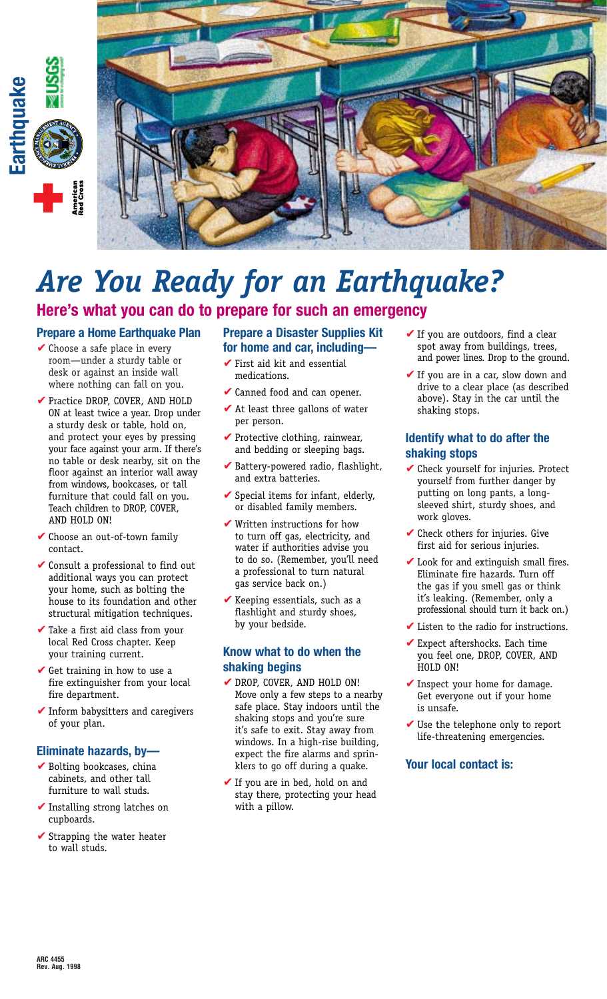



# *Are You Ready for an Earthquake?*

**Here's what you can do to prepare for such an emergency**

# **Prepare a Home Earthquake Plan**

- $\vee$  Choose a safe place in every room—under a sturdy table or desk or against an inside wall where nothing can fall on you.
- ✔ Practice DROP, COVER, AND HOLD ON at least twice a year. Drop under a sturdy desk or table, hold on, and protect your eyes by pressing your face against your arm. If there's no table or desk nearby, sit on the floor against an interior wall away from windows, bookcases, or tall furniture that could fall on you. Teach children to DROP, COVER, AND HOLD ON!
- Choose an out-of-town family contact.
- $\vee$  Consult a professional to find out additional ways you can protect your home, such as bolting the house to its foundation and other structural mitigation techniques.
- $\blacktriangleright$  Take a first aid class from your local Red Cross chapter. Keep your training current.
- $\checkmark$  Get training in how to use a fire extinguisher from your local fire department.
- $\blacktriangleright$  Inform babysitters and caregivers of your plan.

## **Eliminate hazards, by—**

- $\blacktriangleright$  Bolting bookcases, china cabinets, and other tall furniture to wall studs.
- ✔ Installing strong latches on cupboards.
- ✔ Strapping the water heater to wall studs.

#### **Prepare a Disaster Supplies Kit for home and car, including—**

- $\checkmark$  First aid kit and essential medications.
- **✓** Canned food and can opener.
- $\blacktriangleright$  At least three gallons of water per person.
- $\blacktriangleright$  Protective clothing, rainwear, and bedding or sleeping bags.
- Battery-powered radio, flashlight, and extra batteries.
- Special items for infant, elderly, or disabled family members.
- $\blacktriangledown$  Written instructions for how to turn off gas, electricity, and water if authorities advise you to do so. (Remember, you'll need a professional to turn natural gas service back on.)
- $\blacktriangleright$  Keeping essentials, such as a flashlight and sturdy shoes, by your bedside.

#### **Know what to do when the shaking begins**

- ✔ DROP, COVER, AND HOLD ON! Move only a few steps to a nearby safe place. Stay indoors until the shaking stops and you're sure it's safe to exit. Stay away from windows. In a high-rise building, expect the fire alarms and sprinklers to go off during a quake.
- $\checkmark$  If you are in bed, hold on and stay there, protecting your head with a pillow.
- $\checkmark$  If you are outdoors, find a clear spot away from buildings, trees, and power lines. Drop to the ground.
- $\checkmark$  If you are in a car, slow down and drive to a clear place (as described above). Stay in the car until the shaking stops.

# **Identify what to do after the shaking stops**

- ✔ Check yourself for injuries. Protect yourself from further danger by putting on long pants, a longsleeved shirt, sturdy shoes, and work gloves.
- Check others for injuries. Give first aid for serious injuries.
- $\blacktriangleright$  Look for and extinguish small fires. Eliminate fire hazards. Turn off the gas if you smell gas or think it's leaking. (Remember, only a professional should turn it back on.)
- Listen to the radio for instructions.
- $\blacktriangleright$  Expect aftershocks. Each time you feel one, DROP, COVER, AND HOLD ON!
- $\blacktriangleright$  Inspect your home for damage. Get everyone out if your home is unsafe.
- $\vee$  Use the telephone only to report life-threatening emergencies.

## **Your local contact is:**